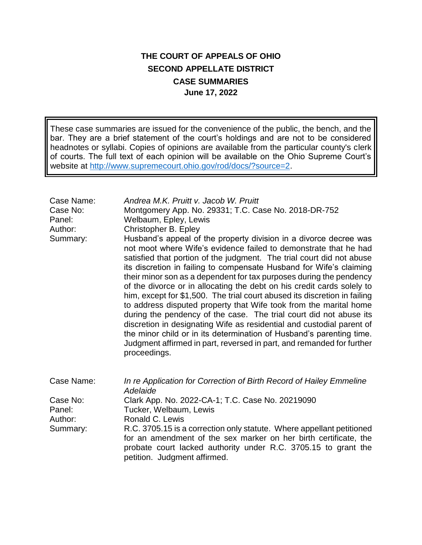## **THE COURT OF APPEALS OF OHIO SECOND APPELLATE DISTRICT CASE SUMMARIES June 17, 2022**

These case summaries are issued for the convenience of the public, the bench, and the bar. They are a brief statement of the court's holdings and are not to be considered headnotes or syllabi. Copies of opinions are available from the particular county's clerk of courts. The full text of each opinion will be available on the Ohio Supreme Court's website at [http://www.supremecourt.ohio.gov/rod/docs/?source=2.](http://www.supremecourt.ohio.gov/rod/docs/?source=2)

| Case Name:<br>Case No:<br>Panel:<br>Author:<br>Summary: | Andrea M.K. Pruitt v. Jacob W. Pruitt<br>Montgomery App. No. 29331; T.C. Case No. 2018-DR-752<br>Welbaum, Epley, Lewis<br>Christopher B. Epley<br>Husband's appeal of the property division in a divorce decree was<br>not moot where Wife's evidence failed to demonstrate that he had<br>satisfied that portion of the judgment. The trial court did not abuse<br>its discretion in failing to compensate Husband for Wife's claiming<br>their minor son as a dependent for tax purposes during the pendency<br>of the divorce or in allocating the debt on his credit cards solely to<br>him, except for \$1,500. The trial court abused its discretion in failing<br>to address disputed property that Wife took from the marital home<br>during the pendency of the case. The trial court did not abuse its<br>discretion in designating Wife as residential and custodial parent of<br>the minor child or in its determination of Husband's parenting time.<br>Judgment affirmed in part, reversed in part, and remanded for further<br>proceedings. |
|---------------------------------------------------------|------------------------------------------------------------------------------------------------------------------------------------------------------------------------------------------------------------------------------------------------------------------------------------------------------------------------------------------------------------------------------------------------------------------------------------------------------------------------------------------------------------------------------------------------------------------------------------------------------------------------------------------------------------------------------------------------------------------------------------------------------------------------------------------------------------------------------------------------------------------------------------------------------------------------------------------------------------------------------------------------------------------------------------------------------------|
| Case Name:                                              | In re Application for Correction of Birth Record of Hailey Emmeline<br>Adelaide                                                                                                                                                                                                                                                                                                                                                                                                                                                                                                                                                                                                                                                                                                                                                                                                                                                                                                                                                                            |
| Case No:<br>Panel:<br>Author:<br>Summary:               | Clark App. No. 2022-CA-1; T.C. Case No. 20219090<br>Tucker, Welbaum, Lewis<br>Ronald C. Lewis<br>R.C. 3705.15 is a correction only statute. Where appellant petitioned<br>for an amendment of the sex marker on her birth certificate, the<br>probate court lacked authority under R.C. 3705.15 to grant the<br>petition. Judgment affirmed.                                                                                                                                                                                                                                                                                                                                                                                                                                                                                                                                                                                                                                                                                                               |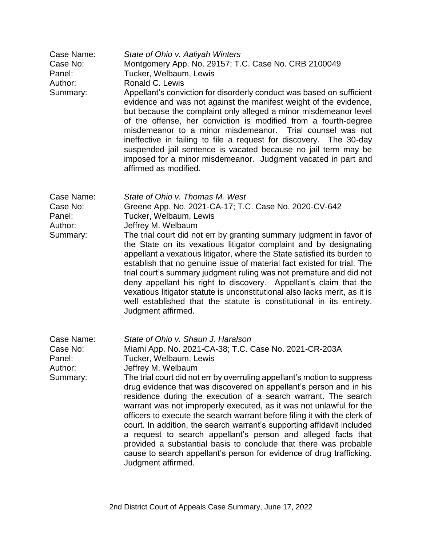| Case Name:<br>Case No:<br>Panel:<br>Author:<br>Summary: | State of Ohio v. Aaliyah Winters<br>Montgomery App. No. 29157; T.C. Case No. CRB 2100049<br>Tucker, Welbaum, Lewis<br>Ronald C. Lewis<br>Appellant's conviction for disorderly conduct was based on sufficient<br>evidence and was not against the manifest weight of the evidence,<br>but because the complaint only alleged a minor misdemeanor level<br>of the offense, her conviction is modified from a fourth-degree<br>misdemeanor to a minor misdemeanor.<br>Trial counsel was not<br>ineffective in failing to file a request for discovery. The 30-day<br>suspended jail sentence is vacated because no jail term may be<br>imposed for a minor misdemeanor. Judgment vacated in part and<br>affirmed as modified.                                                                                                     |
|---------------------------------------------------------|----------------------------------------------------------------------------------------------------------------------------------------------------------------------------------------------------------------------------------------------------------------------------------------------------------------------------------------------------------------------------------------------------------------------------------------------------------------------------------------------------------------------------------------------------------------------------------------------------------------------------------------------------------------------------------------------------------------------------------------------------------------------------------------------------------------------------------|
| Case Name:<br>Case No:<br>Panel:<br>Author:<br>Summary: | State of Ohio v. Thomas M. West<br>Greene App. No. 2021-CA-17; T.C. Case No. 2020-CV-642<br>Tucker, Welbaum, Lewis<br>Jeffrey M. Welbaum<br>The trial court did not err by granting summary judgment in favor of<br>the State on its vexatious litigator complaint and by designating<br>appellant a vexatious litigator, where the State satisfied its burden to<br>establish that no genuine issue of material fact existed for trial. The<br>trial court's summary judgment ruling was not premature and did not<br>deny appellant his right to discovery. Appellant's claim that the<br>vexatious litigator statute is unconstitutional also lacks merit, as it is<br>well established that the statute is constitutional in its entirety.<br>Judgment affirmed.                                                             |
| Case Name:<br>Case No:<br>Panel:<br>Author:<br>Summary: | State of Ohio v. Shaun J. Haralson<br>Miami App. No. 2021-CA-38; T.C. Case No. 2021-CR-203A<br>Tucker, Welbaum, Lewis<br>Jeffrey M. Welbaum<br>The trial court did not err by overruling appellant's motion to suppress<br>drug evidence that was discovered on appellant's person and in his<br>residence during the execution of a search warrant. The search<br>warrant was not improperly executed, as it was not unlawful for the<br>officers to execute the search warrant before filing it with the clerk of<br>court. In addition, the search warrant's supporting affidavit included<br>a request to search appellant's person and alleged facts that<br>provided a substantial basis to conclude that there was probable<br>cause to search appellant's person for evidence of drug trafficking.<br>Judgment affirmed. |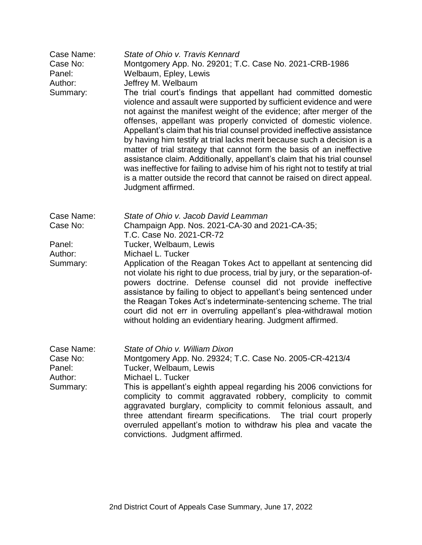| Case Name:<br>Case No:<br>Panel:<br>Author:<br>Summary: | State of Ohio v. Travis Kennard<br>Montgomery App. No. 29201; T.C. Case No. 2021-CRB-1986<br>Welbaum, Epley, Lewis<br>Jeffrey M. Welbaum<br>The trial court's findings that appellant had committed domestic<br>violence and assault were supported by sufficient evidence and were<br>not against the manifest weight of the evidence; after merger of the<br>offenses, appellant was properly convicted of domestic violence.<br>Appellant's claim that his trial counsel provided ineffective assistance<br>by having him testify at trial lacks merit because such a decision is a<br>matter of trial strategy that cannot form the basis of an ineffective<br>assistance claim. Additionally, appellant's claim that his trial counsel<br>was ineffective for failing to advise him of his right not to testify at trial<br>is a matter outside the record that cannot be raised on direct appeal.<br>Judgment affirmed. |
|---------------------------------------------------------|-------------------------------------------------------------------------------------------------------------------------------------------------------------------------------------------------------------------------------------------------------------------------------------------------------------------------------------------------------------------------------------------------------------------------------------------------------------------------------------------------------------------------------------------------------------------------------------------------------------------------------------------------------------------------------------------------------------------------------------------------------------------------------------------------------------------------------------------------------------------------------------------------------------------------------|
| Case Name:<br>Case No:<br>Panel:                        | State of Ohio v. Jacob David Leamman<br>Champaign App. Nos. 2021-CA-30 and 2021-CA-35;<br>T.C. Case No. 2021-CR-72<br>Tucker, Welbaum, Lewis                                                                                                                                                                                                                                                                                                                                                                                                                                                                                                                                                                                                                                                                                                                                                                                  |
| Author:<br>Summary:                                     | Michael L. Tucker<br>Application of the Reagan Tokes Act to appellant at sentencing did<br>not violate his right to due process, trial by jury, or the separation-of-<br>powers doctrine. Defense counsel did not provide ineffective<br>assistance by failing to object to appellant's being sentenced under<br>the Reagan Tokes Act's indeterminate-sentencing scheme. The trial<br>court did not err in overruling appellant's plea-withdrawal motion<br>without holding an evidentiary hearing. Judgment affirmed.                                                                                                                                                                                                                                                                                                                                                                                                        |
| Case Name:<br>Case No:<br>Panel:<br>Author:<br>Summary: | State of Ohio v. William Dixon<br>Montgomery App. No. 29324; T.C. Case No. 2005-CR-4213/4<br>Tucker, Welbaum, Lewis<br>Michael L. Tucker<br>This is appellant's eighth appeal regarding his 2006 convictions for<br>complicity to commit aggravated robbery, complicity to commit<br>aggravated burglary, complicity to commit felonious assault, and<br>three attendant firearm specifications. The trial court properly<br>overruled appellant's motion to withdraw his plea and vacate the<br>convictions. Judgment affirmed.                                                                                                                                                                                                                                                                                                                                                                                              |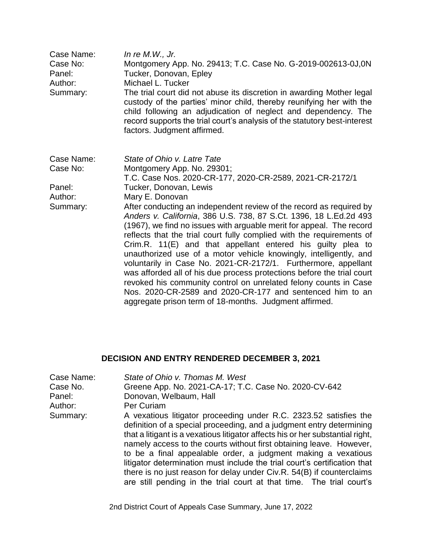| Case Name:<br>Case No:<br>Panel:<br>Author:<br>Summary: | In re $M.W., Jr.$<br>Montgomery App. No. 29413; T.C. Case No. G-2019-002613-0J,0N<br>Tucker, Donovan, Epley<br>Michael L. Tucker<br>The trial court did not abuse its discretion in awarding Mother legal<br>custody of the parties' minor child, thereby reunifying her with the<br>child following an adjudication of neglect and dependency. The<br>record supports the trial court's analysis of the statutory best-interest<br>factors. Judgment affirmed.                                                                                                                                                                                                                                                                                                      |
|---------------------------------------------------------|----------------------------------------------------------------------------------------------------------------------------------------------------------------------------------------------------------------------------------------------------------------------------------------------------------------------------------------------------------------------------------------------------------------------------------------------------------------------------------------------------------------------------------------------------------------------------------------------------------------------------------------------------------------------------------------------------------------------------------------------------------------------|
| Case Name:<br>Case No:<br>Panel:<br>Author:             | State of Ohio v. Latre Tate<br>Montgomery App. No. 29301;<br>T.C. Case Nos. 2020-CR-177, 2020-CR-2589, 2021-CR-2172/1<br>Tucker, Donovan, Lewis<br>Mary E. Donovan                                                                                                                                                                                                                                                                                                                                                                                                                                                                                                                                                                                                   |
| Summary:                                                | After conducting an independent review of the record as required by<br>Anders v. California, 386 U.S. 738, 87 S.Ct. 1396, 18 L.Ed.2d 493<br>(1967), we find no issues with arguable merit for appeal. The record<br>reflects that the trial court fully complied with the requirements of<br>Crim.R. 11(E) and that appellant entered his guilty plea to<br>unauthorized use of a motor vehicle knowingly, intelligently, and<br>voluntarily in Case No. 2021-CR-2172/1. Furthermore, appellant<br>was afforded all of his due process protections before the trial court<br>revoked his community control on unrelated felony counts in Case<br>Nos. 2020-CR-2589 and 2020-CR-177 and sentenced him to an<br>aggregate prison term of 18-months. Judgment affirmed. |

## **DECISION AND ENTRY RENDERED DECEMBER 3, 2021**

| Case Name: | State of Ohio v. Thomas M. West                                                                                                                                                                                                                                                                                                                                                                                                                                                                                                                                                                   |
|------------|---------------------------------------------------------------------------------------------------------------------------------------------------------------------------------------------------------------------------------------------------------------------------------------------------------------------------------------------------------------------------------------------------------------------------------------------------------------------------------------------------------------------------------------------------------------------------------------------------|
| Case No.   | Greene App. No. 2021-CA-17; T.C. Case No. 2020-CV-642                                                                                                                                                                                                                                                                                                                                                                                                                                                                                                                                             |
| Panel:     | Donovan, Welbaum, Hall                                                                                                                                                                                                                                                                                                                                                                                                                                                                                                                                                                            |
| Author:    | Per Curiam                                                                                                                                                                                                                                                                                                                                                                                                                                                                                                                                                                                        |
| Summary:   | A vexatious litigator proceeding under R.C. 2323.52 satisfies the<br>definition of a special proceeding, and a judgment entry determining<br>that a litigant is a vexatious litigator affects his or her substantial right,<br>namely access to the courts without first obtaining leave. However,<br>to be a final appealable order, a judgment making a vexatious<br>litigator determination must include the trial court's certification that<br>there is no just reason for delay under Civ.R. 54(B) if counterclaims<br>are still pending in the trial court at that time. The trial court's |